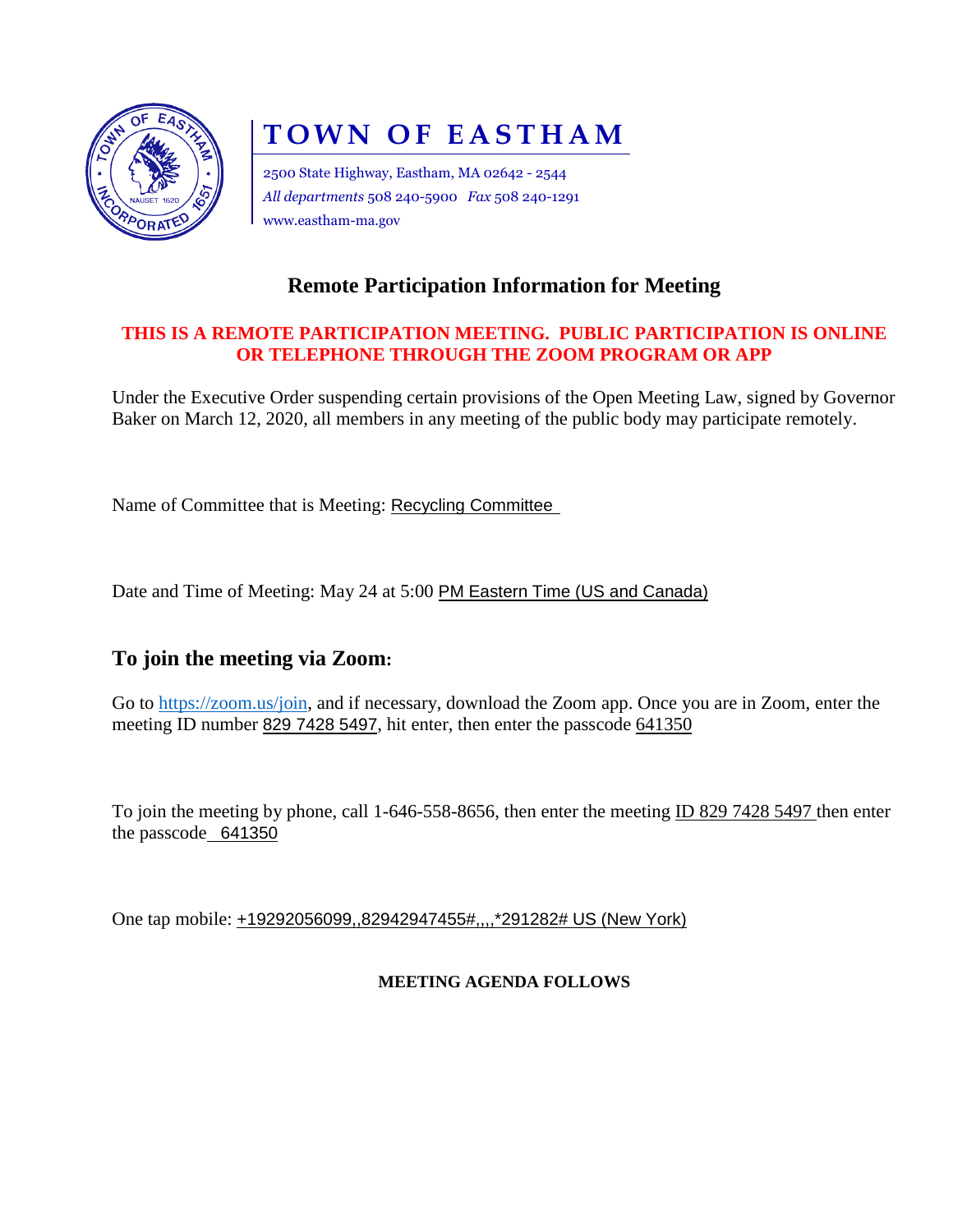

# **TOWN OF EASTHAM**

2500 State Highway, Eastham, MA 02642 - 2544 *All departments* 508 240-5900 *Fax* 508 240-1291 www.eastham-ma.gov

### **Remote Participation Information for Meeting**

#### **THIS IS A REMOTE PARTICIPATION MEETING. PUBLIC PARTICIPATION IS ONLINE OR TELEPHONE THROUGH THE ZOOM PROGRAM OR APP**

Under the Executive Order suspending certain provisions of the Open Meeting Law, signed by Governor Baker on March 12, 2020, all members in any meeting of the public body may participate remotely.

Name of Committee that is Meeting: Recycling Committee

Date and Time of Meeting: May 24 at 5:00 PM Eastern Time (US and Canada)

#### **To join the meeting via Zoom:**

Go to [https://zoom.us/join,](https://zoom.us/join) and if necessary, download the Zoom app. Once you are in Zoom, enter the meeting ID number 829 7428 5497, hit enter, then enter the passcode 641350

To join the meeting by phone, call 1-646-558-8656, then enter the meeting ID 829 7428 5497 then enter the passcode 641350

One tap mobile: +19292056099,,82942947455#,,,,\*291282# US (New York)

#### **MEETING AGENDA FOLLOWS**